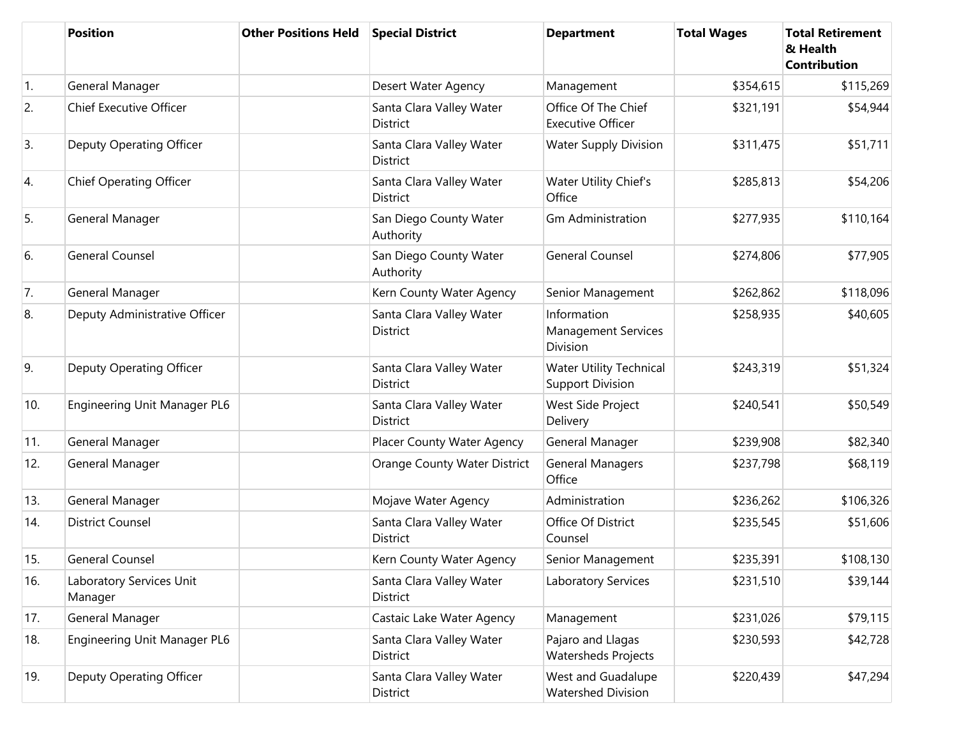|                  | <b>Position</b>                     | <b>Other Positions Held</b> | <b>Special District</b>                     | <b>Department</b>                                            | <b>Total Wages</b> | <b>Total Retirement</b><br>& Health<br><b>Contribution</b> |
|------------------|-------------------------------------|-----------------------------|---------------------------------------------|--------------------------------------------------------------|--------------------|------------------------------------------------------------|
| $\overline{1}$ . | General Manager                     |                             | Desert Water Agency                         | Management                                                   | \$354,615          | \$115,269                                                  |
| 2.               | <b>Chief Executive Officer</b>      |                             | Santa Clara Valley Water<br><b>District</b> | Office Of The Chief<br><b>Executive Officer</b>              | \$321,191          | \$54,944                                                   |
| 3.               | Deputy Operating Officer            |                             | Santa Clara Valley Water<br><b>District</b> | <b>Water Supply Division</b>                                 | \$311,475          | \$51,711                                                   |
| 4.               | <b>Chief Operating Officer</b>      |                             | Santa Clara Valley Water<br><b>District</b> | Water Utility Chief's<br>Office                              | \$285,813          | \$54,206                                                   |
| 5.               | General Manager                     |                             | San Diego County Water<br>Authority         | <b>Gm Administration</b>                                     | \$277,935          | \$110,164                                                  |
| 6.               | <b>General Counsel</b>              |                             | San Diego County Water<br>Authority         | <b>General Counsel</b>                                       | \$274,806          | \$77,905                                                   |
| 7.               | General Manager                     |                             | Kern County Water Agency                    | Senior Management                                            | \$262,862          | \$118,096                                                  |
| 8.               | Deputy Administrative Officer       |                             | Santa Clara Valley Water<br><b>District</b> | Information<br><b>Management Services</b><br><b>Division</b> | \$258,935          | \$40,605                                                   |
| 9.               | Deputy Operating Officer            |                             | Santa Clara Valley Water<br><b>District</b> | <b>Water Utility Technical</b><br><b>Support Division</b>    | \$243,319          | \$51,324                                                   |
| 10.              | Engineering Unit Manager PL6        |                             | Santa Clara Valley Water<br><b>District</b> | West Side Project<br>Delivery                                | \$240,541          | \$50,549                                                   |
| 11.              | General Manager                     |                             | Placer County Water Agency                  | General Manager                                              | \$239,908          | \$82,340                                                   |
| 12.              | General Manager                     |                             | Orange County Water District                | <b>General Managers</b><br>Office                            | \$237,798          | \$68,119                                                   |
| 13.              | General Manager                     |                             | Mojave Water Agency                         | Administration                                               | \$236,262          | \$106,326                                                  |
| 14.              | <b>District Counsel</b>             |                             | Santa Clara Valley Water<br><b>District</b> | Office Of District<br>Counsel                                | \$235,545          | \$51,606                                                   |
| 15.              | General Counsel                     |                             | Kern County Water Agency                    | Senior Management                                            | \$235,391          | \$108,130                                                  |
| 16.              | Laboratory Services Unit<br>Manager |                             | Santa Clara Valley Water<br>District        | Laboratory Services                                          | \$231,510          | \$39,144                                                   |
| 17.              | General Manager                     |                             | Castaic Lake Water Agency                   | Management                                                   | \$231,026          | \$79,115                                                   |
| 18.              | Engineering Unit Manager PL6        |                             | Santa Clara Valley Water<br><b>District</b> | Pajaro and Llagas<br>Watersheds Projects                     | \$230,593          | \$42,728                                                   |
| 19.              | Deputy Operating Officer            |                             | Santa Clara Valley Water<br>District        | West and Guadalupe<br><b>Watershed Division</b>              | \$220,439          | \$47,294                                                   |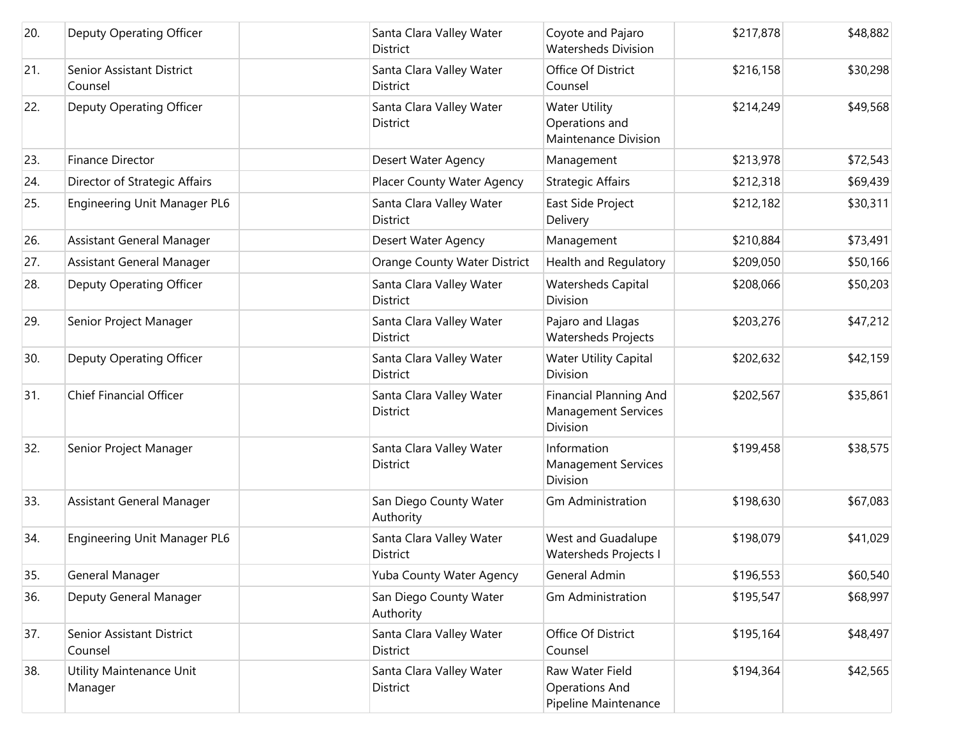| 20. | Deputy Operating Officer             | Santa Clara Valley Water<br><b>District</b> | Coyote and Pajaro<br><b>Watersheds Division</b>                         | \$217,878 | \$48,882 |
|-----|--------------------------------------|---------------------------------------------|-------------------------------------------------------------------------|-----------|----------|
| 21. | Senior Assistant District<br>Counsel | Santa Clara Valley Water<br><b>District</b> | Office Of District<br>Counsel                                           | \$216,158 | \$30,298 |
| 22. | Deputy Operating Officer             | Santa Clara Valley Water<br>District        | <b>Water Utility</b><br>Operations and<br>Maintenance Division          | \$214,249 | \$49,568 |
| 23. | Finance Director                     | Desert Water Agency                         | Management                                                              | \$213,978 | \$72,543 |
| 24. | Director of Strategic Affairs        | Placer County Water Agency                  | <b>Strategic Affairs</b>                                                | \$212,318 | \$69,439 |
| 25. | Engineering Unit Manager PL6         | Santa Clara Valley Water<br><b>District</b> | East Side Project<br>Delivery                                           | \$212,182 | \$30,311 |
| 26. | Assistant General Manager            | Desert Water Agency                         | Management                                                              | \$210,884 | \$73,491 |
| 27. | Assistant General Manager            | Orange County Water District                | Health and Regulatory                                                   | \$209,050 | \$50,166 |
| 28. | Deputy Operating Officer             | Santa Clara Valley Water<br><b>District</b> | <b>Watersheds Capital</b><br>Division                                   | \$208,066 | \$50,203 |
| 29. | Senior Project Manager               | Santa Clara Valley Water<br><b>District</b> | Pajaro and Llagas<br>Watersheds Projects                                | \$203,276 | \$47,212 |
| 30. | Deputy Operating Officer             | Santa Clara Valley Water<br><b>District</b> | <b>Water Utility Capital</b><br>Division                                | \$202,632 | \$42,159 |
| 31. | Chief Financial Officer              | Santa Clara Valley Water<br>District        | <b>Financial Planning And</b><br><b>Management Services</b><br>Division | \$202,567 | \$35,861 |
| 32. | Senior Project Manager               | Santa Clara Valley Water<br>District        | Information<br><b>Management Services</b><br>Division                   | \$199,458 | \$38,575 |
| 33. | Assistant General Manager            | San Diego County Water<br>Authority         | <b>Gm Administration</b>                                                | \$198,630 | \$67,083 |
| 34. | Engineering Unit Manager PL6         | Santa Clara Valley Water<br>District        | West and Guadalupe<br>Watersheds Projects I                             | \$198,079 | \$41,029 |
| 35. | General Manager                      | Yuba County Water Agency                    | General Admin                                                           | \$196,553 | \$60,540 |
| 36. | Deputy General Manager               | San Diego County Water<br>Authority         | <b>Gm Administration</b>                                                | \$195,547 | \$68,997 |
| 37. | Senior Assistant District<br>Counsel | Santa Clara Valley Water<br>District        | Office Of District<br>Counsel                                           | \$195,164 | \$48,497 |
| 38. | Utility Maintenance Unit<br>Manager  | Santa Clara Valley Water<br>District        | Raw Water Field<br><b>Operations And</b><br>Pipeline Maintenance        | \$194,364 | \$42,565 |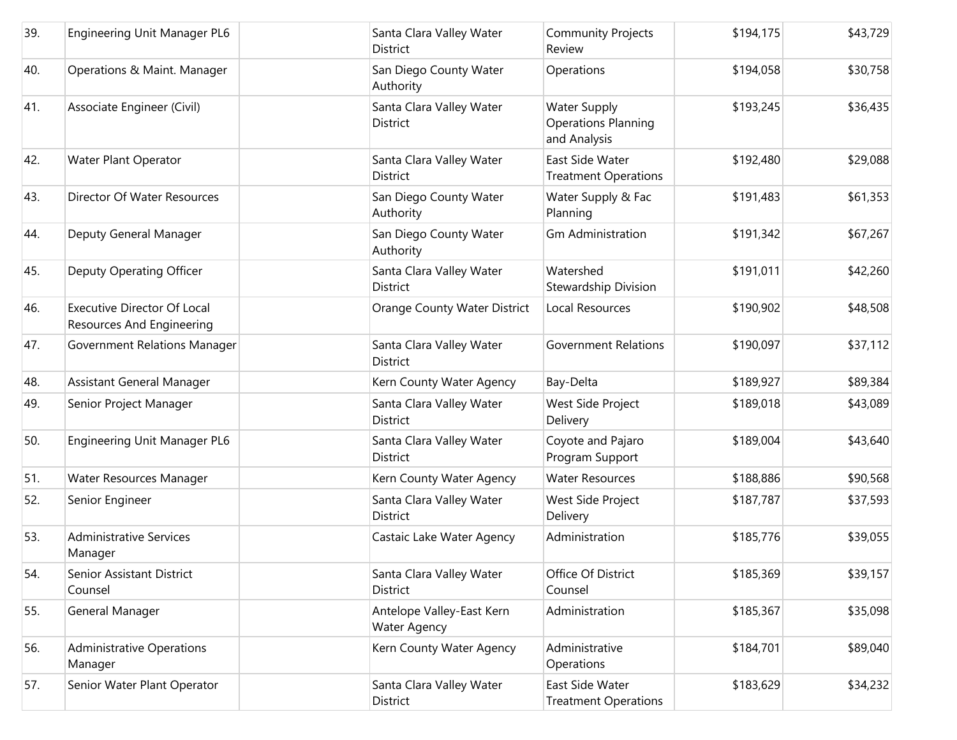| 39. | Engineering Unit Manager PL6                                    | Santa Clara Valley Water<br><b>District</b>      | <b>Community Projects</b><br>Review                               | \$194,175 | \$43,729 |
|-----|-----------------------------------------------------------------|--------------------------------------------------|-------------------------------------------------------------------|-----------|----------|
| 40. | Operations & Maint. Manager                                     | San Diego County Water<br>Authority              | Operations                                                        | \$194,058 | \$30,758 |
| 41. | Associate Engineer (Civil)                                      | Santa Clara Valley Water<br>District             | <b>Water Supply</b><br><b>Operations Planning</b><br>and Analysis | \$193,245 | \$36,435 |
| 42. | Water Plant Operator                                            | Santa Clara Valley Water<br><b>District</b>      | East Side Water<br><b>Treatment Operations</b>                    | \$192,480 | \$29,088 |
| 43. | Director Of Water Resources                                     | San Diego County Water<br>Authority              | Water Supply & Fac<br>Planning                                    | \$191,483 | \$61,353 |
| 44. | Deputy General Manager                                          | San Diego County Water<br>Authority              | <b>Gm Administration</b>                                          | \$191,342 | \$67,267 |
| 45. | Deputy Operating Officer                                        | Santa Clara Valley Water<br><b>District</b>      | Watershed<br>Stewardship Division                                 | \$191,011 | \$42,260 |
| 46. | <b>Executive Director Of Local</b><br>Resources And Engineering | Orange County Water District                     | Local Resources                                                   | \$190,902 | \$48,508 |
| 47. | Government Relations Manager                                    | Santa Clara Valley Water<br><b>District</b>      | <b>Government Relations</b>                                       | \$190,097 | \$37,112 |
| 48. | Assistant General Manager                                       | Kern County Water Agency                         | Bay-Delta                                                         | \$189,927 | \$89,384 |
| 49. | Senior Project Manager                                          | Santa Clara Valley Water<br><b>District</b>      | West Side Project<br>Delivery                                     | \$189,018 | \$43,089 |
| 50. | Engineering Unit Manager PL6                                    | Santa Clara Valley Water<br>District             | Coyote and Pajaro<br>Program Support                              | \$189,004 | \$43,640 |
| 51. | Water Resources Manager                                         | Kern County Water Agency                         | <b>Water Resources</b>                                            | \$188,886 | \$90,568 |
| 52. | Senior Engineer                                                 | Santa Clara Valley Water<br><b>District</b>      | West Side Project<br>Delivery                                     | \$187,787 | \$37,593 |
| 53. | <b>Administrative Services</b><br>Manager                       | Castaic Lake Water Agency                        | Administration                                                    | \$185,776 | \$39,055 |
| 54. | Senior Assistant District<br>Counsel                            | Santa Clara Valley Water<br>District             | Office Of District<br>Counsel                                     | \$185,369 | \$39,157 |
| 55. | General Manager                                                 | Antelope Valley-East Kern<br><b>Water Agency</b> | Administration                                                    | \$185,367 | \$35,098 |
| 56. | <b>Administrative Operations</b><br>Manager                     | Kern County Water Agency                         | Administrative<br>Operations                                      | \$184,701 | \$89,040 |
| 57. | Senior Water Plant Operator                                     | Santa Clara Valley Water<br>District             | East Side Water<br><b>Treatment Operations</b>                    | \$183,629 | \$34,232 |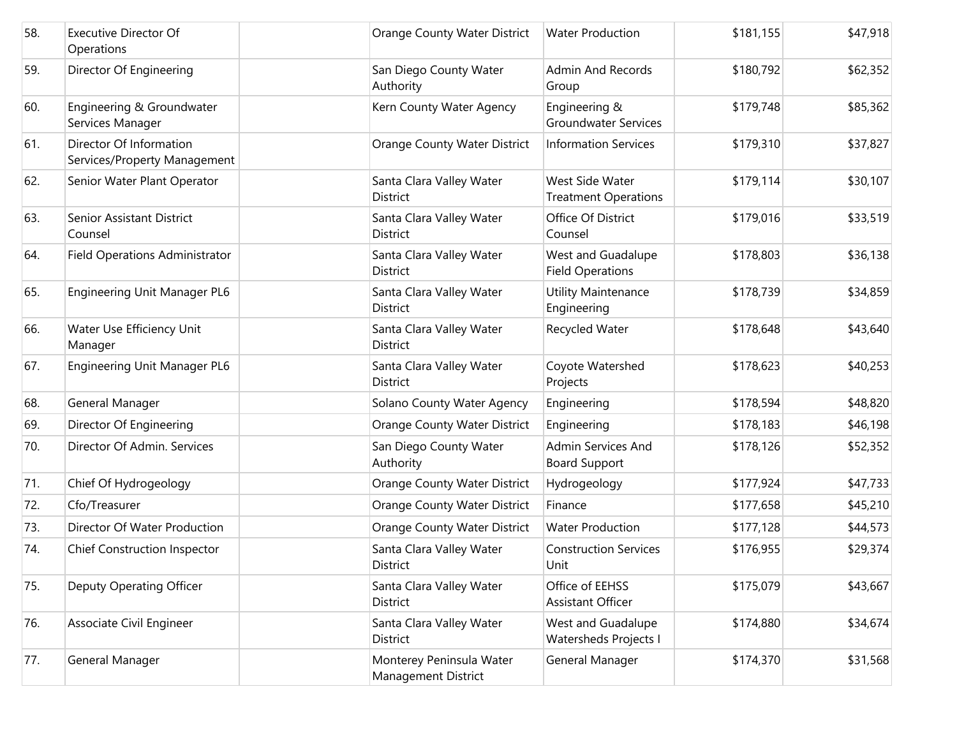| 58. | <b>Executive Director Of</b><br>Operations              | Orange County Water District                    | <b>Water Production</b>                        | \$181,155 | \$47,918 |
|-----|---------------------------------------------------------|-------------------------------------------------|------------------------------------------------|-----------|----------|
| 59. | Director Of Engineering                                 | San Diego County Water<br>Authority             | <b>Admin And Records</b><br>Group              | \$180,792 | \$62,352 |
| 60. | Engineering & Groundwater<br>Services Manager           | Kern County Water Agency                        | Engineering &<br><b>Groundwater Services</b>   | \$179,748 | \$85,362 |
| 61. | Director Of Information<br>Services/Property Management | Orange County Water District                    | <b>Information Services</b>                    | \$179,310 | \$37,827 |
| 62. | Senior Water Plant Operator                             | Santa Clara Valley Water<br><b>District</b>     | West Side Water<br><b>Treatment Operations</b> | \$179,114 | \$30,107 |
| 63. | Senior Assistant District<br>Counsel                    | Santa Clara Valley Water<br>District            | Office Of District<br>Counsel                  | \$179,016 | \$33,519 |
| 64. | <b>Field Operations Administrator</b>                   | Santa Clara Valley Water<br><b>District</b>     | West and Guadalupe<br><b>Field Operations</b>  | \$178,803 | \$36,138 |
| 65. | Engineering Unit Manager PL6                            | Santa Clara Valley Water<br>District            | Utility Maintenance<br>Engineering             | \$178,739 | \$34,859 |
| 66. | Water Use Efficiency Unit<br>Manager                    | Santa Clara Valley Water<br>District            | Recycled Water                                 | \$178,648 | \$43,640 |
| 67. | Engineering Unit Manager PL6                            | Santa Clara Valley Water<br>District            | Coyote Watershed<br>Projects                   | \$178,623 | \$40,253 |
| 68. | General Manager                                         | Solano County Water Agency                      | Engineering                                    | \$178,594 | \$48,820 |
| 69. | Director Of Engineering                                 | Orange County Water District                    | Engineering                                    | \$178,183 | \$46,198 |
| 70. | Director Of Admin. Services                             | San Diego County Water<br>Authority             | Admin Services And<br><b>Board Support</b>     | \$178,126 | \$52,352 |
| 71. | Chief Of Hydrogeology                                   | Orange County Water District                    | Hydrogeology                                   | \$177,924 | \$47,733 |
| 72. | Cfo/Treasurer                                           | Orange County Water District                    | Finance                                        | \$177,658 | \$45,210 |
| 73. | Director Of Water Production                            | Orange County Water District                    | <b>Water Production</b>                        | \$177,128 | \$44,573 |
| 74. | <b>Chief Construction Inspector</b>                     | Santa Clara Valley Water<br>District            | <b>Construction Services</b><br>Unit           | \$176,955 | \$29,374 |
| 75. | Deputy Operating Officer                                | Santa Clara Valley Water<br>District            | Office of EEHSS<br>Assistant Officer           | \$175,079 | \$43,667 |
| 76. | Associate Civil Engineer                                | Santa Clara Valley Water<br>District            | West and Guadalupe<br>Watersheds Projects I    | \$174,880 | \$34,674 |
| 77. | General Manager                                         | Monterey Peninsula Water<br>Management District | General Manager                                | \$174,370 | \$31,568 |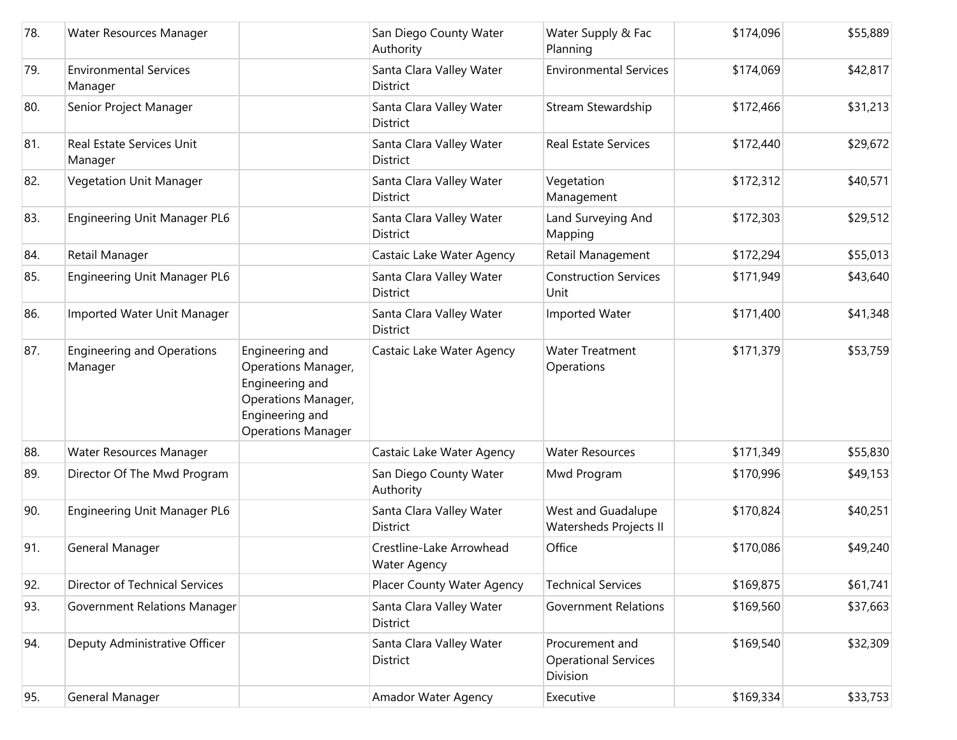| 78. | Water Resources Manager                      |                                                                                                                                         | San Diego County Water<br>Authority             | Water Supply & Fac<br>Planning                             | \$174,096 | \$55,889 |
|-----|----------------------------------------------|-----------------------------------------------------------------------------------------------------------------------------------------|-------------------------------------------------|------------------------------------------------------------|-----------|----------|
| 79. | <b>Environmental Services</b><br>Manager     |                                                                                                                                         | Santa Clara Valley Water<br>District            | <b>Environmental Services</b>                              | \$174,069 | \$42,817 |
| 80. | Senior Project Manager                       |                                                                                                                                         | Santa Clara Valley Water<br><b>District</b>     | Stream Stewardship                                         | \$172,466 | \$31,213 |
| 81. | Real Estate Services Unit<br>Manager         |                                                                                                                                         | Santa Clara Valley Water<br>District            | <b>Real Estate Services</b>                                | \$172,440 | \$29,672 |
| 82. | Vegetation Unit Manager                      |                                                                                                                                         | Santa Clara Valley Water<br><b>District</b>     | Vegetation<br>Management                                   | \$172,312 | \$40,571 |
| 83. | Engineering Unit Manager PL6                 |                                                                                                                                         | Santa Clara Valley Water<br><b>District</b>     | Land Surveying And<br>Mapping                              | \$172,303 | \$29,512 |
| 84. | Retail Manager                               |                                                                                                                                         | Castaic Lake Water Agency                       | Retail Management                                          | \$172,294 | \$55,013 |
| 85. | Engineering Unit Manager PL6                 |                                                                                                                                         | Santa Clara Valley Water<br>District            | <b>Construction Services</b><br>Unit                       | \$171,949 | \$43,640 |
| 86. | Imported Water Unit Manager                  |                                                                                                                                         | Santa Clara Valley Water<br><b>District</b>     | Imported Water                                             | \$171,400 | \$41,348 |
| 87. | <b>Engineering and Operations</b><br>Manager | Engineering and<br><b>Operations Manager,</b><br>Engineering and<br>Operations Manager,<br>Engineering and<br><b>Operations Manager</b> | Castaic Lake Water Agency                       | <b>Water Treatment</b><br>Operations                       | \$171,379 | \$53,759 |
| 88. | Water Resources Manager                      |                                                                                                                                         | Castaic Lake Water Agency                       | <b>Water Resources</b>                                     | \$171,349 | \$55,830 |
| 89. | Director Of The Mwd Program                  |                                                                                                                                         | San Diego County Water<br>Authority             | Mwd Program                                                | \$170,996 | \$49,153 |
| 90. | Engineering Unit Manager PL6                 |                                                                                                                                         | Santa Clara Valley Water<br><b>District</b>     | West and Guadalupe<br><b>Watersheds Projects II</b>        | \$170,824 | \$40,251 |
| 91. | General Manager                              |                                                                                                                                         | Crestline-Lake Arrowhead<br><b>Water Agency</b> | Office                                                     | \$170,086 | \$49,240 |
| 92. | <b>Director of Technical Services</b>        |                                                                                                                                         | Placer County Water Agency                      | <b>Technical Services</b>                                  | \$169,875 | \$61,741 |
| 93. | Government Relations Manager                 |                                                                                                                                         | Santa Clara Valley Water<br><b>District</b>     | <b>Government Relations</b>                                | \$169,560 | \$37,663 |
| 94. | Deputy Administrative Officer                |                                                                                                                                         | Santa Clara Valley Water<br>District            | Procurement and<br><b>Operational Services</b><br>Division | \$169,540 | \$32,309 |
| 95. | General Manager                              |                                                                                                                                         | Amador Water Agency                             | Executive                                                  | \$169,334 | \$33,753 |